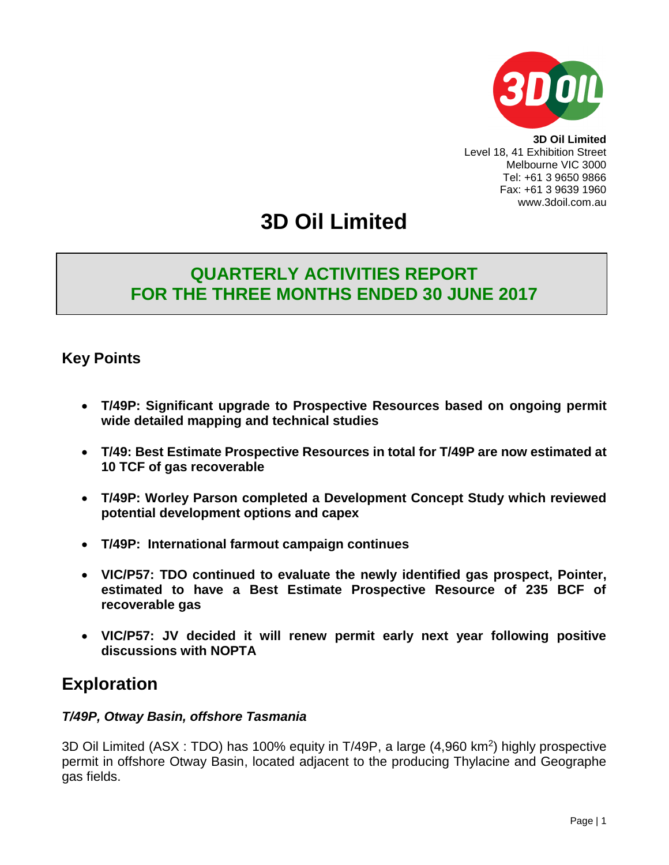

**3D Oil Limited** Level 18, 41 Exhibition Street Melbourne VIC 3000 Tel: +61 3 9650 9866 Fax: +61 3 9639 1960 www.3doil.com.au

# **3D Oil Limited**

### **QUARTERLY ACTIVITIES REPORT FOR THE THREE MONTHS ENDED 30 JUNE 2017**

### **Key Points**

- **T/49P: Significant upgrade to Prospective Resources based on ongoing permit wide detailed mapping and technical studies**
- **T/49: Best Estimate Prospective Resources in total for T/49P are now estimated at 10 TCF of gas recoverable**
- **T/49P: Worley Parson completed a Development Concept Study which reviewed potential development options and capex**
- **T/49P: International farmout campaign continues**
- **VIC/P57: TDO continued to evaluate the newly identified gas prospect, Pointer, estimated to have a Best Estimate Prospective Resource of 235 BCF of recoverable gas**
- **VIC/P57: JV decided it will renew permit early next year following positive discussions with NOPTA**

### **Exploration**

#### *T/49P, Otway Basin, offshore Tasmania*

3D Oil Limited (ASX : TDO) has 100% equity in T/49P, a large (4,960 km<sup>2</sup>) highly prospective permit in offshore Otway Basin, located adjacent to the producing Thylacine and Geographe gas fields.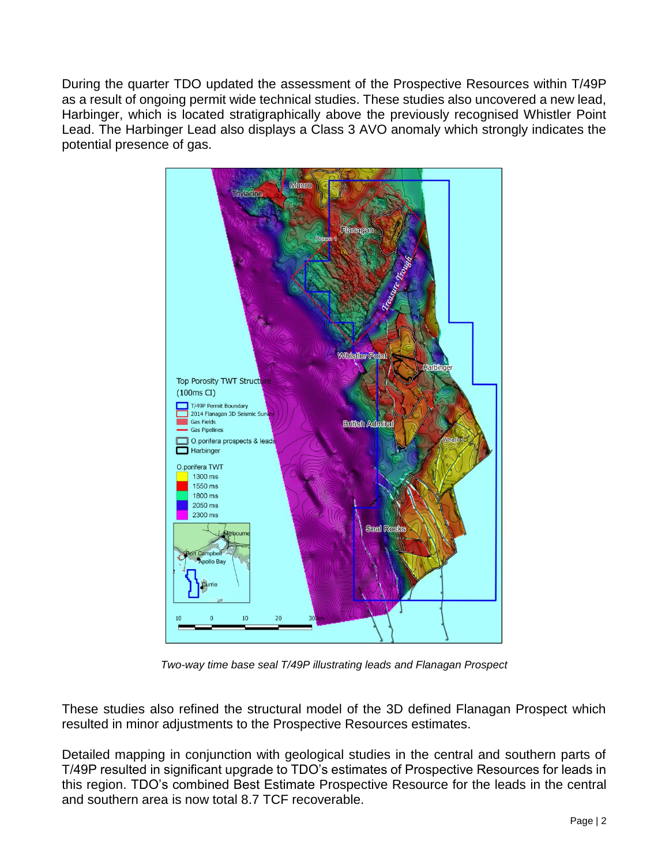During the quarter TDO updated the assessment of the Prospective Resources within T/49P as a result of ongoing permit wide technical studies. These studies also uncovered a new lead, Harbinger, which is located stratigraphically above the previously recognised Whistler Point Lead. The Harbinger Lead also displays a Class 3 AVO anomaly which strongly indicates the potential presence of gas.



*Two-way time base seal T/49P illustrating leads and Flanagan Prospect*

These studies also refined the structural model of the 3D defined Flanagan Prospect which resulted in minor adjustments to the Prospective Resources estimates.

Detailed mapping in conjunction with geological studies in the central and southern parts of T/49P resulted in significant upgrade to TDO's estimates of Prospective Resources for leads in this region. TDO's combined Best Estimate Prospective Resource for the leads in the central and southern area is now total 8.7 TCF recoverable.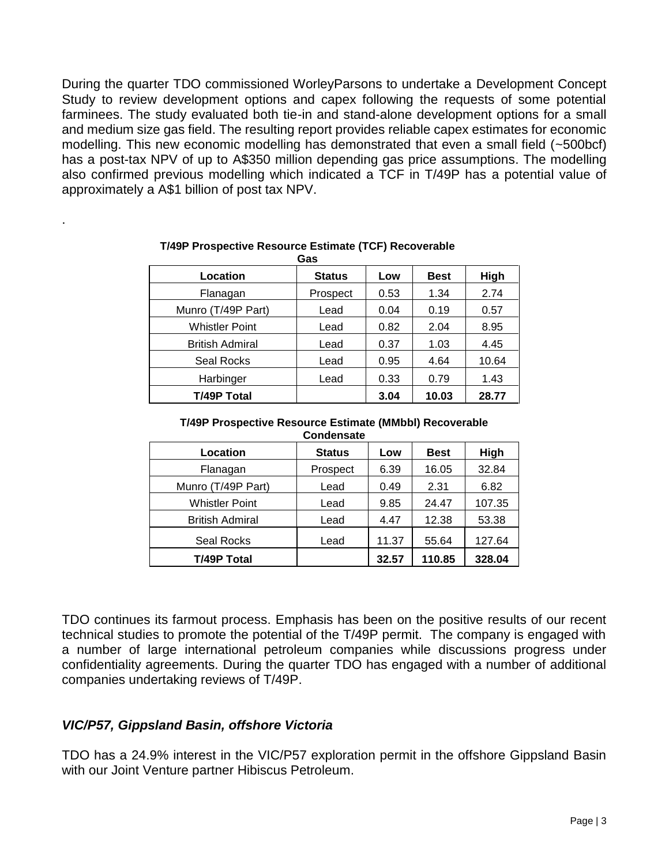During the quarter TDO commissioned WorleyParsons to undertake a Development Concept Study to review development options and capex following the requests of some potential farminees. The study evaluated both tie-in and stand-alone development options for a small and medium size gas field. The resulting report provides reliable capex estimates for economic modelling. This new economic modelling has demonstrated that even a small field (~500bcf) has a post-tax NPV of up to A\$350 million depending gas price assumptions. The modelling also confirmed previous modelling which indicated a TCF in T/49P has a potential value of approximately a A\$1 billion of post tax NPV.

| Gas                    |               |      |             |       |
|------------------------|---------------|------|-------------|-------|
| Location               | <b>Status</b> | Low  | <b>Best</b> | High  |
| Flanagan               | Prospect      | 0.53 | 1.34        | 2.74  |
| Munro (T/49P Part)     | Lead          | 0.04 | 0.19        | 0.57  |
| <b>Whistler Point</b>  | Lead          | 0.82 | 2.04        | 8.95  |
| <b>British Admiral</b> | Lead          | 0.37 | 1.03        | 4.45  |
| Seal Rocks             | Lead          | 0.95 | 4.64        | 10.64 |
| Harbinger              | Lead          | 0.33 | 0.79        | 1.43  |
| T/49P Total            |               | 3.04 | 10.03       | 28.77 |

### **T/49P Prospective Resource Estimate (TCF) Recoverable**

#### **T/49P Prospective Resource Estimate (MMbbl) Recoverable Condensate**

| <b>UUILUEIISALE</b>    |               |       |             |        |  |
|------------------------|---------------|-------|-------------|--------|--|
| Location               | <b>Status</b> | Low   | <b>Best</b> | High   |  |
| Flanagan               | Prospect      | 6.39  | 16.05       | 32.84  |  |
| Munro (T/49P Part)     | Lead          | 0.49  | 2.31        | 6.82   |  |
| <b>Whistler Point</b>  | Lead          | 9.85  | 24.47       | 107.35 |  |
| <b>British Admiral</b> | Lead          | 4.47  | 12.38       | 53.38  |  |
| Seal Rocks             | Lead          | 11.37 | 55.64       | 127.64 |  |
| <b>T/49P Total</b>     |               | 32.57 | 110.85      | 328.04 |  |

TDO continues its farmout process. Emphasis has been on the positive results of our recent technical studies to promote the potential of the T/49P permit. The company is engaged with a number of large international petroleum companies while discussions progress under confidentiality agreements. During the quarter TDO has engaged with a number of additional companies undertaking reviews of T/49P.

### *VIC/P57, Gippsland Basin, offshore Victoria*

.

TDO has a 24.9% interest in the VIC/P57 exploration permit in the offshore Gippsland Basin with our Joint Venture partner Hibiscus Petroleum.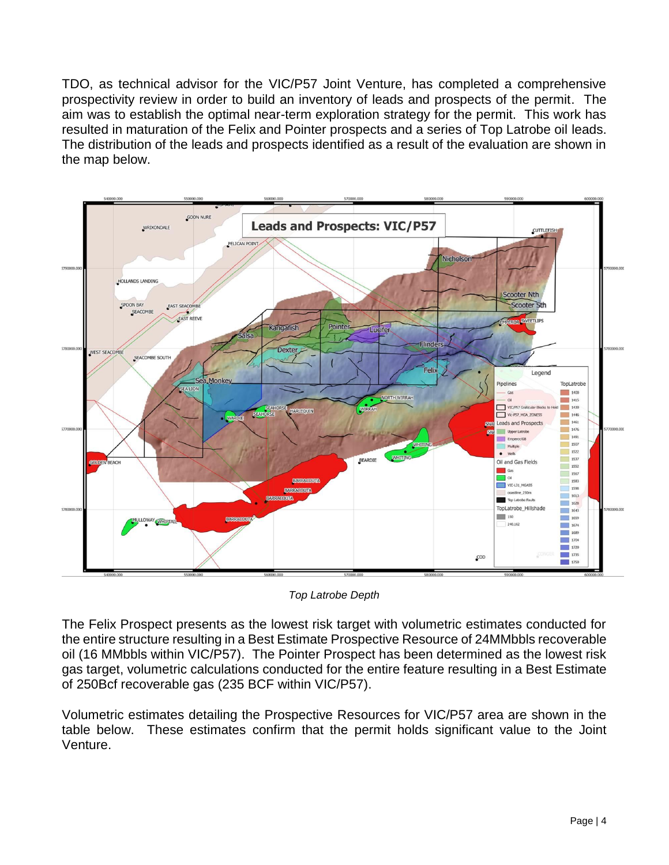TDO, as technical advisor for the VIC/P57 Joint Venture, has completed a comprehensive prospectivity review in order to build an inventory of leads and prospects of the permit. The aim was to establish the optimal near-term exploration strategy for the permit. This work has resulted in maturation of the Felix and Pointer prospects and a series of Top Latrobe oil leads. The distribution of the leads and prospects identified as a result of the evaluation are shown in the map below.



*Top Latrobe Depth*

The Felix Prospect presents as the lowest risk target with volumetric estimates conducted for the entire structure resulting in a Best Estimate Prospective Resource of 24MMbbls recoverable oil (16 MMbbls within VIC/P57). The Pointer Prospect has been determined as the lowest risk gas target, volumetric calculations conducted for the entire feature resulting in a Best Estimate of 250Bcf recoverable gas (235 BCF within VIC/P57).

Volumetric estimates detailing the Prospective Resources for VIC/P57 area are shown in the table below. These estimates confirm that the permit holds significant value to the Joint Venture.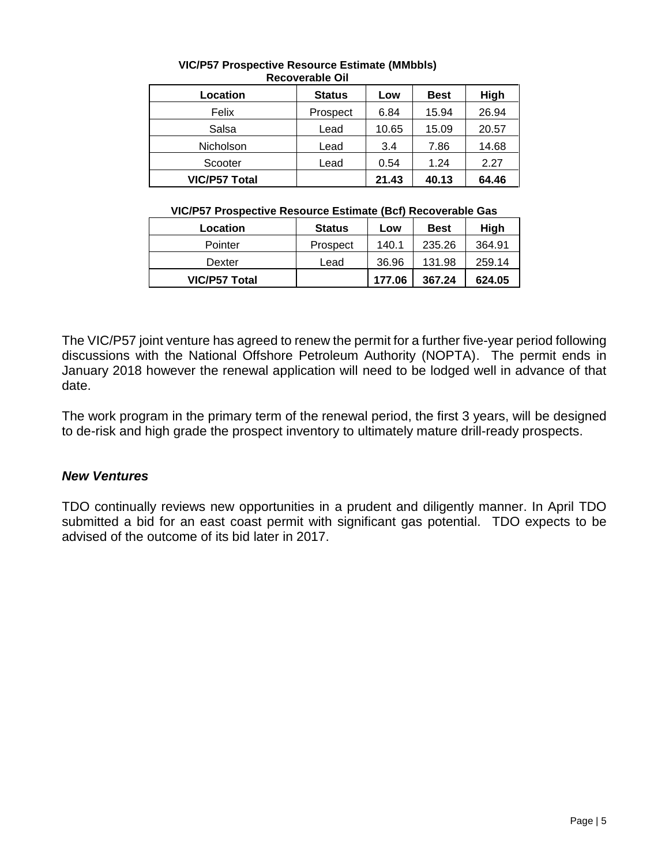| Location             | <b>Status</b> | Low   | <b>Best</b> | High  |  |
|----------------------|---------------|-------|-------------|-------|--|
| Felix                | Prospect      | 6.84  | 15.94       | 26.94 |  |
| Salsa                | Lead          | 10.65 | 15.09       | 20.57 |  |
| <b>Nicholson</b>     | Lead          | 3.4   | 7.86        | 14.68 |  |
| Scooter              | Lead          | 0.54  | 1.24        | 2.27  |  |
| <b>VIC/P57 Total</b> |               | 21.43 | 40.13       | 64.46 |  |

#### **VIC/P57 Prospective Resource Estimate (MMbbls) Recoverable Oil**

#### **VIC/P57 Prospective Resource Estimate (Bcf) Recoverable Gas**

| Location      | <b>Status</b> | Low    | <b>Best</b> | High   |
|---------------|---------------|--------|-------------|--------|
| Pointer       | Prospect      | 140.1  | 235.26      | 364.91 |
| Dexter        | Lead          | 36.96  | 131.98      | 259.14 |
| VIC/P57 Total |               | 177.06 | 367.24      | 624.05 |

The VIC/P57 joint venture has agreed to renew the permit for a further five-year period following discussions with the National Offshore Petroleum Authority (NOPTA). The permit ends in January 2018 however the renewal application will need to be lodged well in advance of that date.

The work program in the primary term of the renewal period, the first 3 years, will be designed to de-risk and high grade the prospect inventory to ultimately mature drill-ready prospects.

#### *New Ventures*

TDO continually reviews new opportunities in a prudent and diligently manner. In April TDO submitted a bid for an east coast permit with significant gas potential. TDO expects to be advised of the outcome of its bid later in 2017.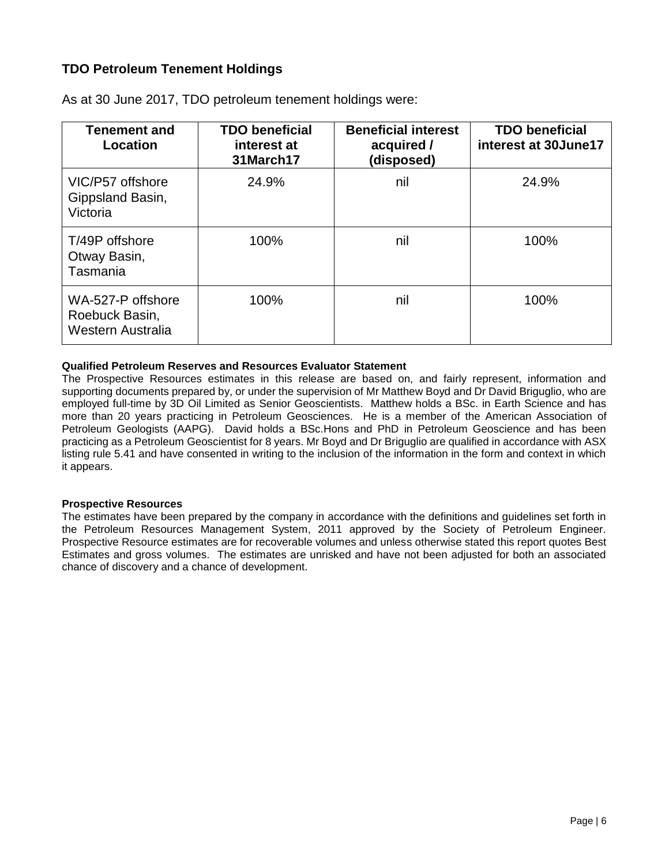#### **TDO Petroleum Tenement Holdings**

| <b>Tenement and</b><br>Location                          | <b>TDO beneficial</b><br>interest at<br>31March17 | <b>Beneficial interest</b><br>acquired /<br>(disposed) | <b>TDO beneficial</b><br>interest at 30June17 |
|----------------------------------------------------------|---------------------------------------------------|--------------------------------------------------------|-----------------------------------------------|
| VIC/P57 offshore<br>Gippsland Basin,<br>Victoria         | 24.9%                                             | nil                                                    | 24.9%                                         |
| T/49P offshore<br>Otway Basin,<br>Tasmania               | 100%                                              | nil                                                    | 100%                                          |
| WA-527-P offshore<br>Roebuck Basin,<br>Western Australia | 100%                                              | nil                                                    | 100%                                          |

As at 30 June 2017, TDO petroleum tenement holdings were:

#### **Qualified Petroleum Reserves and Resources Evaluator Statement**

The Prospective Resources estimates in this release are based on, and fairly represent, information and supporting documents prepared by, or under the supervision of Mr Matthew Boyd and Dr David Briguglio, who are employed full-time by 3D Oil Limited as Senior Geoscientists. Matthew holds a BSc. in Earth Science and has more than 20 years practicing in Petroleum Geosciences. He is a member of the American Association of Petroleum Geologists (AAPG). David holds a BSc.Hons and PhD in Petroleum Geoscience and has been practicing as a Petroleum Geoscientist for 8 years. Mr Boyd and Dr Briguglio are qualified in accordance with ASX listing rule 5.41 and have consented in writing to the inclusion of the information in the form and context in which it appears.

#### **Prospective Resources**

The estimates have been prepared by the company in accordance with the definitions and guidelines set forth in the Petroleum Resources Management System, 2011 approved by the Society of Petroleum Engineer. Prospective Resource estimates are for recoverable volumes and unless otherwise stated this report quotes Best Estimates and gross volumes. The estimates are unrisked and have not been adjusted for both an associated chance of discovery and a chance of development.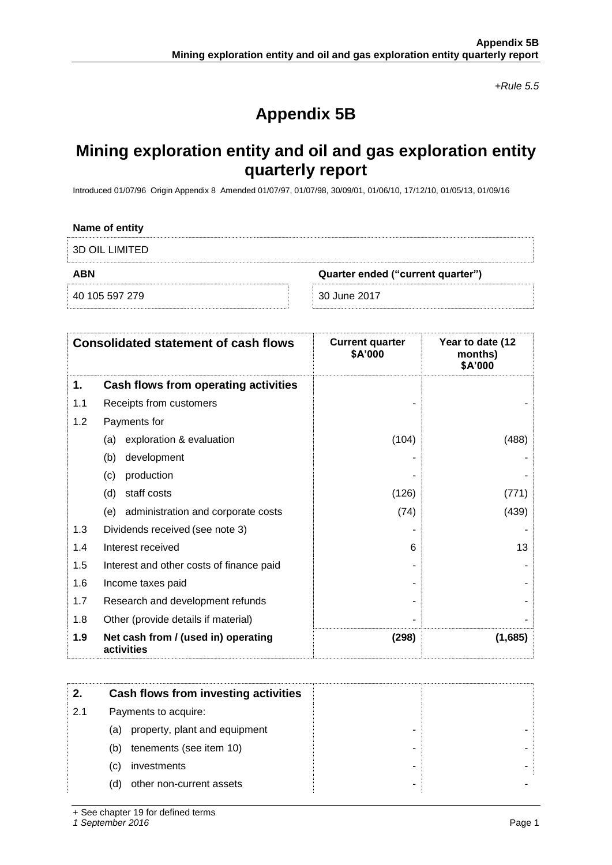*+Rule 5.5*

## **Appendix 5B**

### **Mining exploration entity and oil and gas exploration entity quarterly report**

Introduced 01/07/96 Origin Appendix 8 Amended 01/07/97, 01/07/98, 30/09/01, 01/06/10, 17/12/10, 01/05/13, 01/09/16

| Name of entity        |                                   |
|-----------------------|-----------------------------------|
| <b>3D OIL LIMITED</b> |                                   |
|                       |                                   |
| <b>ABN</b>            | Quarter ended ("current quarter") |

|     | <b>Consolidated statement of cash flows</b>       | <b>Current quarter</b><br>\$A'000 | Year to date (12<br>months)<br>\$A'000 |
|-----|---------------------------------------------------|-----------------------------------|----------------------------------------|
| 1.  | Cash flows from operating activities              |                                   |                                        |
| 1.1 | Receipts from customers                           |                                   |                                        |
| 1.2 | Payments for                                      |                                   |                                        |
|     | exploration & evaluation<br>(a)                   | (104)                             | (488)                                  |
|     | development<br>(b)                                |                                   |                                        |
|     | production<br>(c)                                 |                                   |                                        |
|     | staff costs<br>(d)                                | (126)                             | (771)                                  |
|     | administration and corporate costs<br>(e)         | (74)                              | (439)                                  |
| 1.3 | Dividends received (see note 3)                   |                                   |                                        |
| 1.4 | Interest received                                 | 6                                 | 13                                     |
| 1.5 | Interest and other costs of finance paid          |                                   |                                        |
| 1.6 | Income taxes paid                                 |                                   |                                        |
| 1.7 | Research and development refunds                  |                                   |                                        |
| 1.8 | Other (provide details if material)               |                                   |                                        |
| 1.9 | Net cash from / (used in) operating<br>activities | (298)                             | (1,685)                                |

|     | Cash flows from investing activities |
|-----|--------------------------------------|
| 2.1 | Payments to acquire:                 |
|     | property, plant and equipment<br>(a) |
|     | tenements (see item 10)<br>(b)<br>-  |
|     | investments<br>(C)                   |
|     | other non-current assets<br>(d)      |

+ See chapter 19 for defined terms

*1 September 2016* Page 1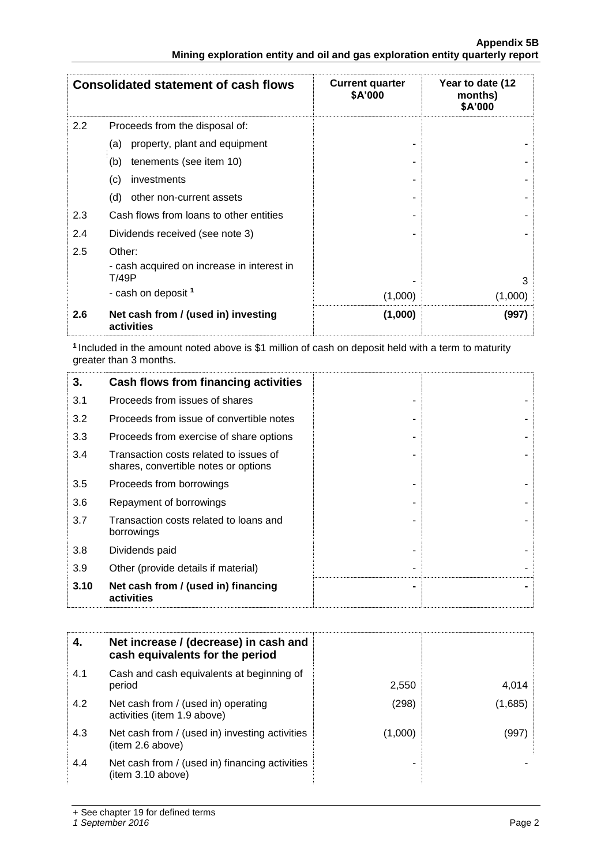|     | <b>Consolidated statement of cash flows</b>         | <b>Current quarter</b><br>\$A'000 | Year to date (12<br>months)<br>\$A'000 |
|-----|-----------------------------------------------------|-----------------------------------|----------------------------------------|
| 2.2 | Proceeds from the disposal of:                      |                                   |                                        |
|     | property, plant and equipment<br>(a)                |                                   |                                        |
|     | tenements (see item 10)<br>(b)                      |                                   |                                        |
|     | (c)<br>investments                                  |                                   |                                        |
|     | (d)<br>other non-current assets                     |                                   |                                        |
| 2.3 | Cash flows from loans to other entities             |                                   |                                        |
| 2.4 | Dividends received (see note 3)                     |                                   |                                        |
| 2.5 | Other:                                              |                                   |                                        |
|     | - cash acquired on increase in interest in<br>T/49P |                                   | 3                                      |
|     | - cash on deposit <sup>1</sup>                      | (1,000)                           | (1,000)                                |
| 2.6 | Net cash from / (used in) investing<br>activities   | (1,000)                           | (997)                                  |

**<sup>1</sup>**Included in the amount noted above is \$1 million of cash on deposit held with a term to maturity greater than 3 months.

| 3.   | Cash flows from financing activities                                           |  |
|------|--------------------------------------------------------------------------------|--|
| 3.1  | Proceeds from issues of shares                                                 |  |
| 3.2  | Proceeds from issue of convertible notes                                       |  |
| 3.3  | Proceeds from exercise of share options                                        |  |
| 3.4  | Transaction costs related to issues of<br>shares, convertible notes or options |  |
| 3.5  | Proceeds from borrowings                                                       |  |
| 3.6  | Repayment of borrowings                                                        |  |
| 3.7  | Transaction costs related to loans and<br>borrowings                           |  |
| 3.8  | Dividends paid                                                                 |  |
| 3.9  | Other (provide details if material)                                            |  |
| 3.10 | Net cash from / (used in) financing<br>activities                              |  |

|     | Net increase / (decrease) in cash and<br>cash equivalents for the period |         |         |
|-----|--------------------------------------------------------------------------|---------|---------|
| 4.1 | Cash and cash equivalents at beginning of<br>period                      | 2,550   | 4,014   |
| 4.2 | Net cash from / (used in) operating<br>activities (item 1.9 above)       | (298)   | (1,685) |
| 4.3 | Net cash from / (used in) investing activities<br>(item 2.6 above)       | (1,000) | (997)   |
| 4.4 | Net cash from / (used in) financing activities<br>(item 3.10 above)      |         |         |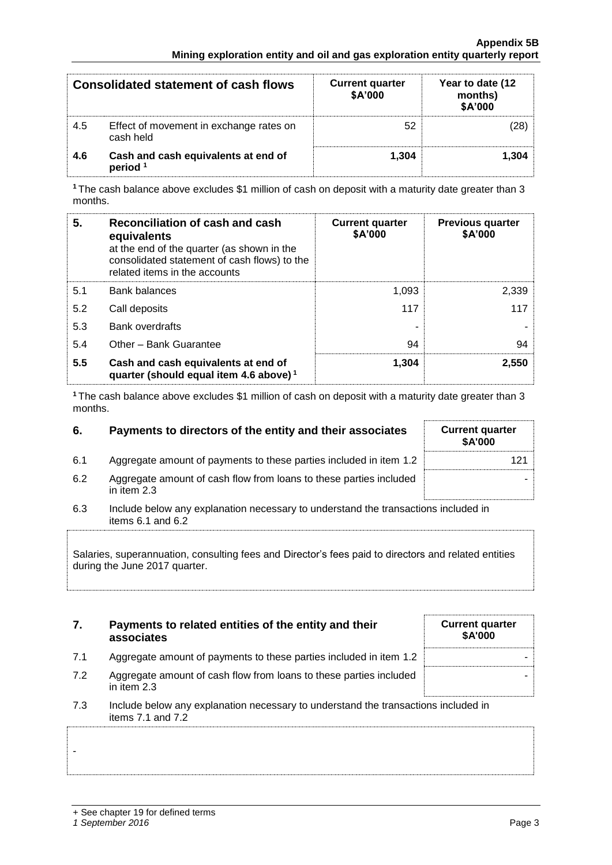|     | Consolidated statement of cash flows                       | <b>Current quarter</b><br>\$A'000 | Year to date (12<br>months)<br>\$A'000 |
|-----|------------------------------------------------------------|-----------------------------------|----------------------------------------|
| 4.5 | Effect of movement in exchange rates on<br>cash held       | 52                                |                                        |
| 4.6 | Cash and cash equivalents at end of<br>period <sup>1</sup> | 1.304                             | 1.304                                  |

**<sup>1</sup>**The cash balance above excludes \$1 million of cash on deposit with a maturity date greater than 3 months.

| 5.  | Reconciliation of cash and cash<br>equivalents<br>at the end of the quarter (as shown in the<br>consolidated statement of cash flows) to the<br>related items in the accounts | <b>Current quarter</b><br>\$A'000 | <b>Previous quarter</b><br>\$A'000 |
|-----|-------------------------------------------------------------------------------------------------------------------------------------------------------------------------------|-----------------------------------|------------------------------------|
| 5.1 | <b>Bank balances</b>                                                                                                                                                          | 1,093                             | 2,339                              |
| 5.2 | Call deposits                                                                                                                                                                 | 117                               | 117                                |
| 5.3 | <b>Bank overdrafts</b>                                                                                                                                                        | -                                 |                                    |
| 5.4 | Other - Bank Guarantee                                                                                                                                                        | 94                                | 94                                 |
| 5.5 | Cash and cash equivalents at end of<br>quarter (should equal item 4.6 above) <sup>1</sup>                                                                                     | 1.304                             | 2.550                              |

**<sup>1</sup>**The cash balance above excludes \$1 million of cash on deposit with a maturity date greater than 3 months.

| 6. | Payments to directors of the entity and their associates | <b>Current quarter</b> |
|----|----------------------------------------------------------|------------------------|
|----|----------------------------------------------------------|------------------------|

- 6.1 Aggregate amount of payments to these parties included in item 1.2
- 6.2 Aggregate amount of cash flow from loans to these parties included in item 2.3
- 6.3 Include below any explanation necessary to understand the transactions included in items 6.1 and 6.2

Salaries, superannuation, consulting fees and Director's fees paid to directors and related entities during the June 2017 quarter.

| 7. | Payments to related entities of the entity and their |  |  |  |
|----|------------------------------------------------------|--|--|--|
|    | associates                                           |  |  |  |

- 7.1 Aggregate amount of payments to these parties included in item 1.2
- 7.2 Aggregate amount of cash flow from loans to these parties included in item 2.3
- 7.3 Include below any explanation necessary to understand the transactions included in items 7.1 and 7.2

| <b>Current quarter</b> | \$A'000 |  |
|------------------------|---------|--|
|                        |         |  |
|                        |         |  |
|                        |         |  |
|                        |         |  |
|                        |         |  |

-

| <b>Current quarter</b><br>\$A'000 |
|-----------------------------------|
| 121                               |
|                                   |
|                                   |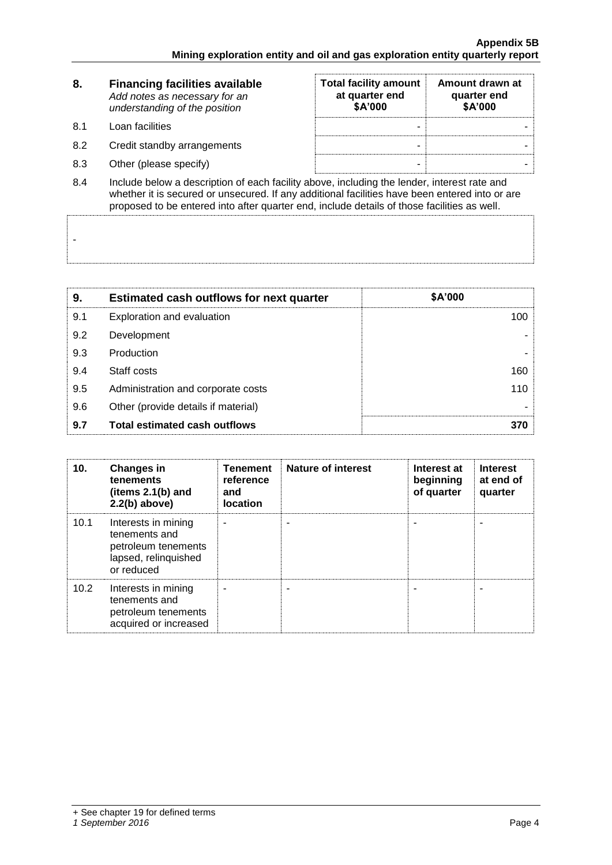| 8.                 | <b>Financing facilities available</b><br>Add notes as necessary for an<br>understanding of the position | <b>Total facility amount</b><br>at quarter end<br>\$A'000 | Amount drawn at<br>quarter end<br>\$A'000 |  |
|--------------------|---------------------------------------------------------------------------------------------------------|-----------------------------------------------------------|-------------------------------------------|--|
| 8.1                | Loan facilities                                                                                         | -                                                         |                                           |  |
| 8.2                | Credit standby arrangements                                                                             | -                                                         |                                           |  |
| 8.3                | Other (please specify)                                                                                  |                                                           |                                           |  |
| $\Omega$ $\Lambda$ | loclude below a description of each facility above including the lender, interest rate and              |                                                           |                                           |  |

8.4 Include below a description of each facility above, including the lender, interest rate and whether it is secured or unsecured. If any additional facilities have been entered into or are proposed to be entered into after quarter end, include details of those facilities as well.

| 9.  | <b>Estimated cash outflows for next quarter</b> | \$A'000 |
|-----|-------------------------------------------------|---------|
| 9.1 | Exploration and evaluation                      | 100.    |
| 9.2 | Development                                     |         |
| 9.3 | Production                                      |         |
| 9.4 | Staff costs                                     | 160.    |
| 9.5 | Administration and corporate costs              | 110     |
| 9.6 | Other (provide details if material)             |         |
| 9.7 | <b>Total estimated cash outflows</b>            | 370     |

| 10.  | <b>Changes in</b><br>tenements<br>(items 2.1(b) and<br>$2.2(b)$ above)                            | <b>Tenement</b><br>reference<br>and<br>location | <b>Nature of interest</b> | Interest at<br>beginning<br>of quarter | <b>Interest</b><br>at end of<br>quarter |
|------|---------------------------------------------------------------------------------------------------|-------------------------------------------------|---------------------------|----------------------------------------|-----------------------------------------|
| 10.1 | Interests in mining<br>tenements and<br>petroleum tenements<br>lapsed, relinquished<br>or reduced |                                                 |                           |                                        |                                         |
| 10.2 | Interests in mining<br>tenements and<br>petroleum tenements<br>acquired or increased              |                                                 |                           |                                        |                                         |

-